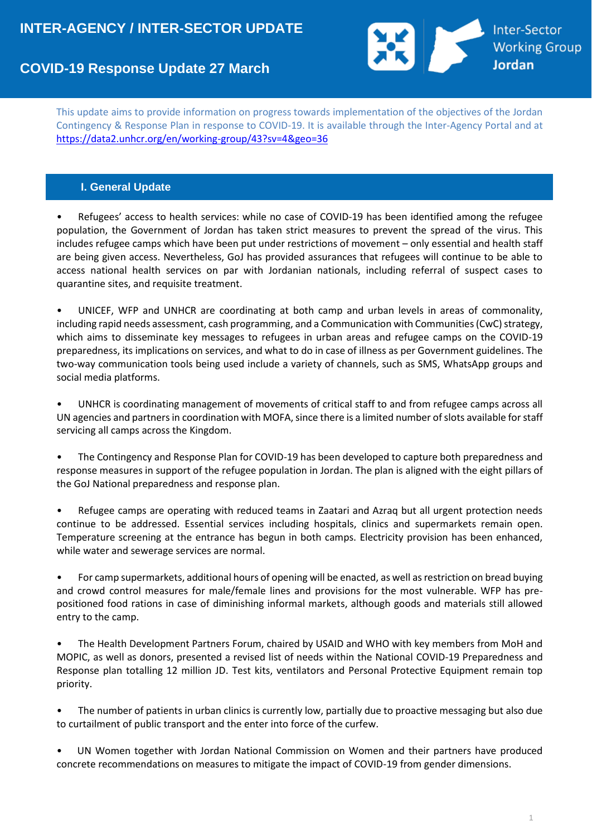# **Inter-Sector** Working Group<br>Jordan

# **COVID-19 Response Update 27 March**

This update aims to provide information on progress towards implementation of the objectives of the Jordan Contingency & Response Plan in response to COVID-19. It is available through the Inter-Agency Portal and at <https://data2.unhcr.org/en/working-group/43?sv=4&geo=36>

# **I. General Update**

• Refugees' access to health services: while no case of COVID-19 has been identified among the refugee population, the Government of Jordan has taken strict measures to prevent the spread of the virus. This includes refugee camps which have been put under restrictions of movement – only essential and health staff are being given access. Nevertheless, GoJ has provided assurances that refugees will continue to be able to access national health services on par with Jordanian nationals, including referral of suspect cases to quarantine sites, and requisite treatment.

• UNICEF, WFP and UNHCR are coordinating at both camp and urban levels in areas of commonality, including rapid needs assessment, cash programming, and a Communication with Communities (CwC) strategy, which aims to disseminate key messages to refugees in urban areas and refugee camps on the COVID-19 preparedness, its implications on services, and what to do in case of illness as per Government guidelines. The two-way communication tools being used include a variety of channels, such as SMS, WhatsApp groups and social media platforms.

• UNHCR is coordinating management of movements of critical staff to and from refugee camps across all UN agencies and partners in coordination with MOFA, since there is a limited number of slots available for staff servicing all camps across the Kingdom.

• The Contingency and Response Plan for COVID-19 has been developed to capture both preparedness and response measures in support of the refugee population in Jordan. The plan is aligned with the eight pillars of the GoJ National preparedness and response plan.

• Refugee camps are operating with reduced teams in Zaatari and Azraq but all urgent protection needs continue to be addressed. Essential services including hospitals, clinics and supermarkets remain open. Temperature screening at the entrance has begun in both camps. Electricity provision has been enhanced, while water and sewerage services are normal.

• For camp supermarkets, additional hours of opening will be enacted, as well as restriction on bread buying and crowd control measures for male/female lines and provisions for the most vulnerable. WFP has prepositioned food rations in case of diminishing informal markets, although goods and materials still allowed entry to the camp.

• The Health Development Partners Forum, chaired by USAID and WHO with key members from MoH and MOPIC, as well as donors, presented a revised list of needs within the National COVID-19 Preparedness and Response plan totalling 12 million JD. Test kits, ventilators and Personal Protective Equipment remain top priority.

• The number of patients in urban clinics is currently low, partially due to proactive messaging but also due to curtailment of public transport and the enter into force of the curfew.

• UN Women together with Jordan National Commission on Women and their partners have produced concrete recommendations on measures to mitigate the impact of COVID-19 from gender dimensions.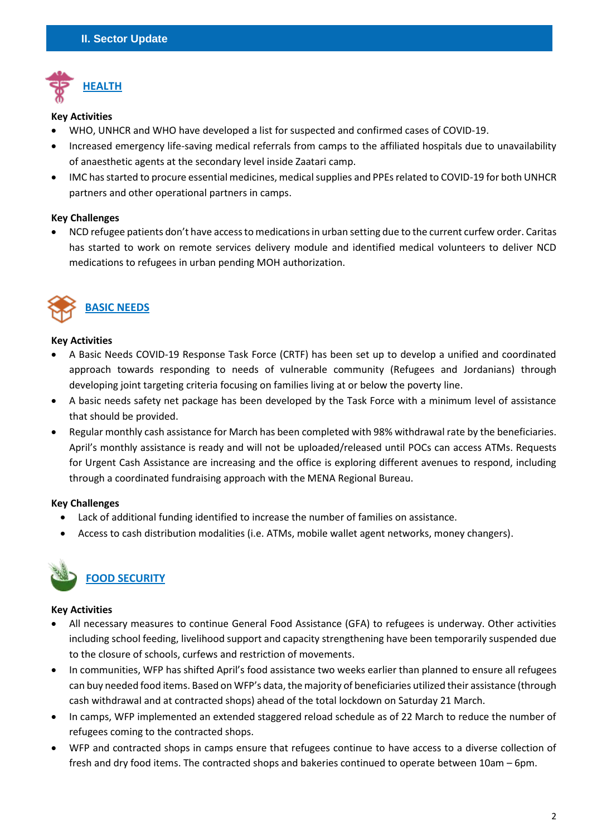

#### **Key Activities**

- WHO, UNHCR and WHO have developed a list for suspected and confirmed cases of COVID-19.
- Increased emergency life-saving medical referrals from camps to the affiliated hospitals due to unavailability of anaesthetic agents at the secondary level inside Zaatari camp.
- IMC has started to procure essential medicines, medical supplies and PPEs related to COVID-19 for both UNHCR partners and other operational partners in camps.

# **Key Challenges**

• NCD refugee patients don't have access to medications in urban setting due to the current curfew order. Caritas has started to work on remote services delivery module and identified medical volunteers to deliver NCD medications to refugees in urban pending MOH authorization.



# **Key Activities**

- A Basic Needs COVID-19 Response Task Force (CRTF) has been set up to develop a unified and coordinated approach towards responding to needs of vulnerable community (Refugees and Jordanians) through developing joint targeting criteria focusing on families living at or below the poverty line.
- A basic needs safety net package has been developed by the Task Force with a minimum level of assistance that should be provided.
- Regular monthly cash assistance for March has been completed with 98% withdrawal rate by the beneficiaries. April's monthly assistance is ready and will not be uploaded/released until POCs can access ATMs. Requests for Urgent Cash Assistance are increasing and the office is exploring different avenues to respond, including through a coordinated fundraising approach with the MENA Regional Bureau.

# **Key Challenges**

- Lack of additional funding identified to increase the number of families on assistance.
- Access to cash distribution modalities (i.e. ATMs, mobile wallet agent networks, money changers).



# **Key Activities**

- All necessary measures to continue General Food Assistance (GFA) to refugees is underway. Other activities including school feeding, livelihood support and capacity strengthening have been temporarily suspended due to the closure of schools, curfews and restriction of movements.
- In communities, WFP has shifted April's food assistance two weeks earlier than planned to ensure all refugees can buy needed food items. Based on WFP's data, the majority of beneficiaries utilized their assistance (through cash withdrawal and at contracted shops) ahead of the total lockdown on Saturday 21 March.
- In camps, WFP implemented an extended staggered reload schedule as of 22 March to reduce the number of refugees coming to the contracted shops.
- WFP and contracted shops in camps ensure that refugees continue to have access to a diverse collection of fresh and dry food items. The contracted shops and bakeries continued to operate between 10am – 6pm.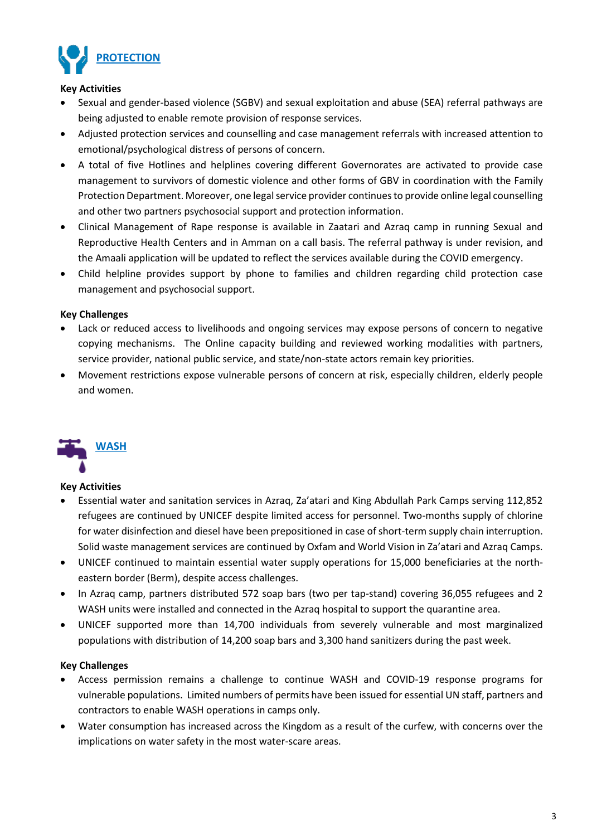

#### **Key Activities**

- Sexual and gender-based violence (SGBV) and sexual exploitation and abuse (SEA) referral pathways are being adjusted to enable remote provision of response services.
- Adjusted protection services and counselling and case management referrals with increased attention to emotional/psychological distress of persons of concern.
- A total of five Hotlines and helplines covering different Governorates are activated to provide case management to survivors of domestic violence and other forms of GBV in coordination with the Family Protection Department. Moreover, one legal service provider continues to provide online legal counselling and other two partners psychosocial support and protection information.
- Clinical Management of Rape response is available in Zaatari and Azraq camp in running Sexual and Reproductive Health Centers and in Amman on a call basis. The referral pathway is under revision, and the Amaali application will be updated to reflect the services available during the COVID emergency.
- Child helpline provides support by phone to families and children regarding child protection case management and psychosocial support.

# **Key Challenges**

- Lack or reduced access to livelihoods and ongoing services may expose persons of concern to negative copying mechanisms. The Online capacity building and reviewed working modalities with partners, service provider, national public service, and state/non-state actors remain key priorities.
- Movement restrictions expose vulnerable persons of concern at risk, especially children, elderly people and women.



# **Key Activities**

- Essential water and sanitation services in Azraq, Za'atari and King Abdullah Park Camps serving 112,852 refugees are continued by UNICEF despite limited access for personnel. Two-months supply of chlorine for water disinfection and diesel have been prepositioned in case of short-term supply chain interruption. Solid waste management services are continued by Oxfam and World Vision in Za'atari and Azraq Camps.
- UNICEF continued to maintain essential water supply operations for 15,000 beneficiaries at the northeastern border (Berm), despite access challenges.
- In Azraq camp, partners distributed 572 soap bars (two per tap-stand) covering 36,055 refugees and 2 WASH units were installed and connected in the Azraq hospital to support the quarantine area.
- UNICEF supported more than 14,700 individuals from severely vulnerable and most marginalized populations with distribution of 14,200 soap bars and 3,300 hand sanitizers during the past week.

# **Key Challenges**

- Access permission remains a challenge to continue WASH and COVID-19 response programs for vulnerable populations. Limited numbers of permits have been issued for essential UN staff, partners and contractors to enable WASH operations in camps only.
- Water consumption has increased across the Kingdom as a result of the curfew, with concerns over the implications on water safety in the most water-scare areas.